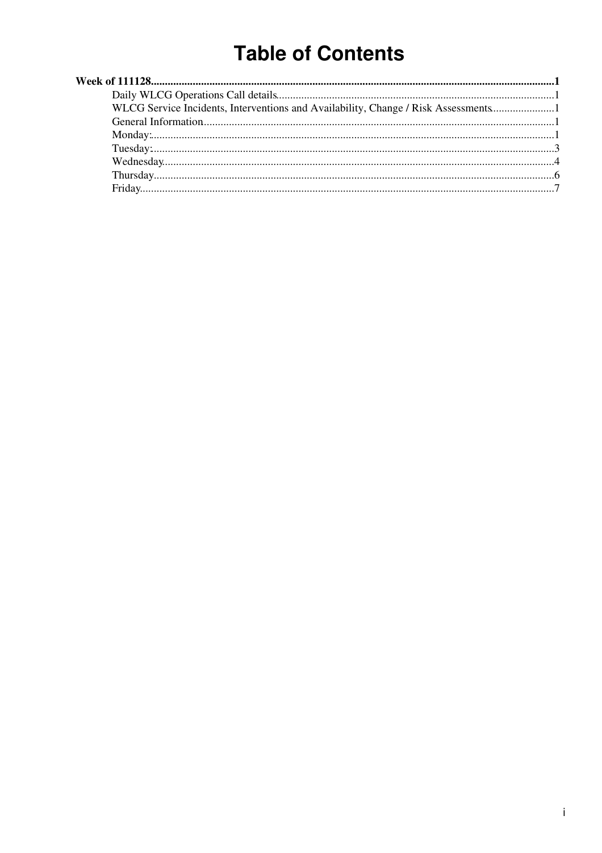# **Table of Contents**

| WLCG Service Incidents, Interventions and Availability, Change / Risk Assessments |  |
|-----------------------------------------------------------------------------------|--|
|                                                                                   |  |
|                                                                                   |  |
|                                                                                   |  |
|                                                                                   |  |
|                                                                                   |  |
|                                                                                   |  |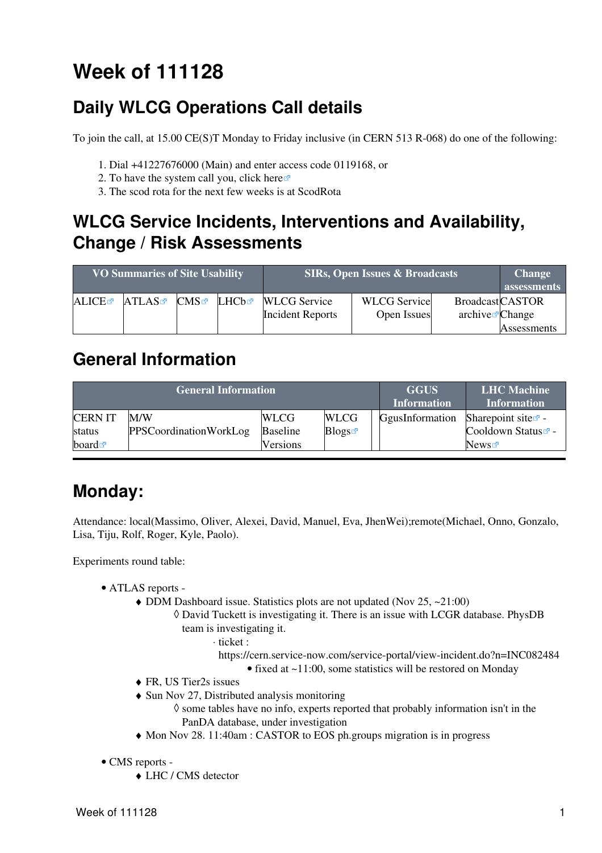# <span id="page-1-0"></span>**Week of 111128**

# <span id="page-1-1"></span>**Daily WLCG Operations Call details**

To join the call, at 15.00 CE(S)T Monday to Friday inclusive (in CERN 513 R-068) do one of the following:

- 1. Dial +41227676000 (Main) and enter access code 0119168, or
- 2. To have the system call you, click [here](https://audioconf.cern.ch/call/0119168) $\Phi$
- 3. The scod rota for the next few weeks is at [ScodRota](https://twiki.cern.ch/twiki/bin/view/LCG/ScodRota)

### <span id="page-1-2"></span>**WLCG Service Incidents, Interventions and Availability, Change / Risk Assessments**

| <b>VO Summaries of Site Usability</b> |       |     |       |                         | <b>SIRs, Open Issues &amp; Broadcasts</b> |                          | <b>Change</b><br>assessments |
|---------------------------------------|-------|-----|-------|-------------------------|-------------------------------------------|--------------------------|------------------------------|
| ALICE                                 | ATLAS | CMS | LHCb☞ | <b>WLCG</b> Service     | <b>WLCG</b> Service                       | <b>BroadcastCASTOR</b>   |                              |
|                                       |       |     |       | <b>Incident Reports</b> | Open Issues                               | $\archive\vec{z}$ Change |                              |
|                                       |       |     |       |                         |                                           |                          | Assessments                  |

#### <span id="page-1-3"></span>**General Information**

|                      | <b>General Information</b>    | <b>GGUS</b><br><b>Information</b> | <b>LHC</b> Machine<br><b>Information</b> |                 |                                |
|----------------------|-------------------------------|-----------------------------------|------------------------------------------|-----------------|--------------------------------|
| <b>CERNIT</b>        | M/W                           | <b>WLCG</b>                       | <b>WLCG</b>                              | GgusInformation | Sharepoint site $\mathbb{Z}$ - |
| status               | <b>PPSCoordinationWorkLog</b> | <b>Baseline</b>                   | Blogs                                    |                 | Cooldown Status <sup>®</sup> - |
| board $\blacksquare$ |                               | <b>Versions</b>                   |                                          |                 | News                           |

## <span id="page-1-4"></span>**Monday:**

Attendance: local(Massimo, Oliver, Alexei, David, Manuel, Eva, [JhenWei\)](https://twiki.cern.ch/twiki/bin/edit/LCG/JhenWei?topicparent=LCG.WLCGDailyMeetingsWeek111128;nowysiwyg=1);remote(Michael, Onno, Gonzalo, Lisa, Tiju, Rolf, Roger, Kyle, Paolo).

Experiments round table:

- ATLAS [reports](https://twiki.cern.ch/twiki/bin/view/Atlas/ADCOperationsDailyReports)  •
	- DDM Dashboard issue. Statistics plots are not updated (Nov 25, ~21:00)
		- David Tuckett is investigating it. There is an issue with LCGR database. PhysDB ◊ team is investigating it.
			- ticket : ⋅
				- <https://cern.service-now.com/service-portal/view-incident.do?n=INC082484>
					- fixed at ~11:00, some statistics will be restored on Monday
	- ♦ FR, US Tier2s issues
	- Sun Nov 27, Distributed analysis monitoring ♦
		- ◊ some tables have no info, experts reported that probably information isn't in the [PanDA](https://twiki.cern.ch/twiki/bin/edit///////view/Atlas/PanDA?topicparent=LCG.WLCGDailyMeetingsWeek111128;nowysiwyg=1) database, under investigation
	- ♦ Mon Nov 28. 11:40am : CASTOR to EOS ph.groups migration is in progress
- CMS [reports](https://twiki.cern.ch/twiki/bin/view/CMS/FacOps_WLCGdailyreports) -
	- ♦ LHC / CMS detector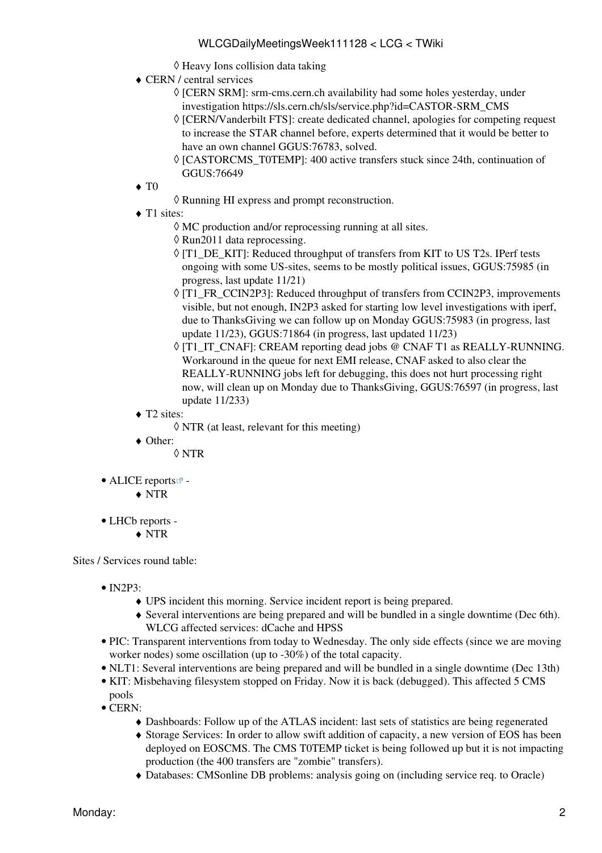- ◊ Heavy Ions collision data taking
- CERN / central services ♦
	- ◊ [CERN SRM]: srm-cms.cern.ch availability had some holes yesterday, under investigation [https://sls.cern.ch/sls/service.php?id=CASTOR-SRM\\_CMS](https://sls.cern.ch/sls/service.php?id=CASTOR-SRM_CMS)
	- ◊ [CERN/Vanderbilt FTS]: create dedicated channel, apologies for competing request to increase the STAR channel before, experts determined that it would be better to have an own channel [GGUS:76783,](https://gus.fzk.de/ws/ticket_info.php?ticket=76783) solved.
	- ◊ [CASTORCMS\_T0TEMP]: 400 active transfers stuck since 24th, continuation of [GGUS:76649](https://gus.fzk.de/ws/ticket_info.php?ticket=76649)
- $\blacklozenge$  T<sub>0</sub>
- ◊ Running HI express and prompt reconstruction.
- ◆ T1 sites:
	- ◊ MC production and/or reprocessing running at all sites.
	- ◊ Run2011 data reprocessing.
	- ◊ [T1\_DE\_KIT]: Reduced throughput of transfers from KIT to US T2s. IPerf tests ongoing with some US-sites, seems to be mostly political issues, [GGUS:75985](https://gus.fzk.de/ws/ticket_info.php?ticket=75985) (in progress, last update 11/21)
	- ◊ [T1\_FR\_CCIN2P3]: Reduced throughput of transfers from [CCIN2P3,](https://twiki.cern.ch/twiki/bin/edit/LCG/CCIN2P3?topicparent=LCG.WLCGDailyMeetingsWeek111128;nowysiwyg=1) improvements visible, but not enough, [IN2P3](https://twiki.cern.ch/twiki/bin/view/LCG/IN2P3) asked for starting low level investigations with iperf, due to [ThanksGiving](https://twiki.cern.ch/twiki/bin/edit/LCG/ThanksGiving?topicparent=LCG.WLCGDailyMeetingsWeek111128;nowysiwyg=1) we can follow up on Monday [GGUS:75983](https://gus.fzk.de/ws/ticket_info.php?ticket=75983) (in progress, last update 11/23), [GGUS:71864](https://gus.fzk.de/ws/ticket_info.php?ticket=71864) (in progress, last updated 11/23)
	- ◊ [T1\_IT\_CNAF]: [CREAM](https://twiki.cern.ch/twiki/bin/view/LCG/CREAM) reporting dead jobs @ CNAF T1 as REALLY-RUNNING. Workaround in the queue for next EMI release, CNAF asked to also clear the REALLY-RUNNING jobs left for debugging, this does not hurt processing right now, will clean up on Monday due to [ThanksGiving](https://twiki.cern.ch/twiki/bin/edit/LCG/ThanksGiving?topicparent=LCG.WLCGDailyMeetingsWeek111128;nowysiwyg=1), [GGUS:76597](https://gus.fzk.de/ws/ticket_info.php?ticket=76597) (in progress, last update 11/233)
- ◆ T2 sites:
	- ◊ NTR (at least, relevant for this meeting)
- Other: ♦
	- ◊ NTR
- ALICE [reports](http://alien2.cern.ch/index.php?option=com_content&view=article&id=75&Itemid=129)<sup>2</sup>
	- ♦ NTR
- LHCb [reports](https://twiki.cern.ch/twiki/bin/view/LHCb/ProductionOperationsWLCGdailyReports) -
	- ♦ NTR

Sites / Services round table:

- $\bullet$  [IN2P3:](https://twiki.cern.ch/twiki/bin/view/LCG/IN2P3)
	- ♦ UPS incident this morning. Service incident report is being prepared.
	- Several interventions are being prepared and will be bundled in a single downtime (Dec 6th). ♦ WLCG affected services: dCache and HPSS
- PIC: Transparent interventions from today to Wednesday. The only side effects (since we are moving worker nodes) some oscillation (up to -30%) of the total capacity.
- NLT1: Several interventions are being prepared and will be bundled in a single downtime (Dec 13th)
- KIT: Misbehaving filesystem stopped on Friday. Now it is back (debugged). This affected 5 CMS pools
- CERN:
	- ♦ Dashboards: Follow up of the ATLAS incident: last sets of statistics are being regenerated
	- Storage Services: In order to allow swift addition of capacity, a new version of EOS has been ♦ deployed on EOSCMS. The CMS [T0TEMP](https://twiki.cern.ch/twiki/bin/edit/LCG/T0TEMP?topicparent=LCG.WLCGDailyMeetingsWeek111128;nowysiwyg=1) ticket is being followed up but it is not impacting production (the 400 transfers are "zombie" transfers).
	- ♦ Databases: CMSonline DB problems: analysis going on (including service req. to Oracle)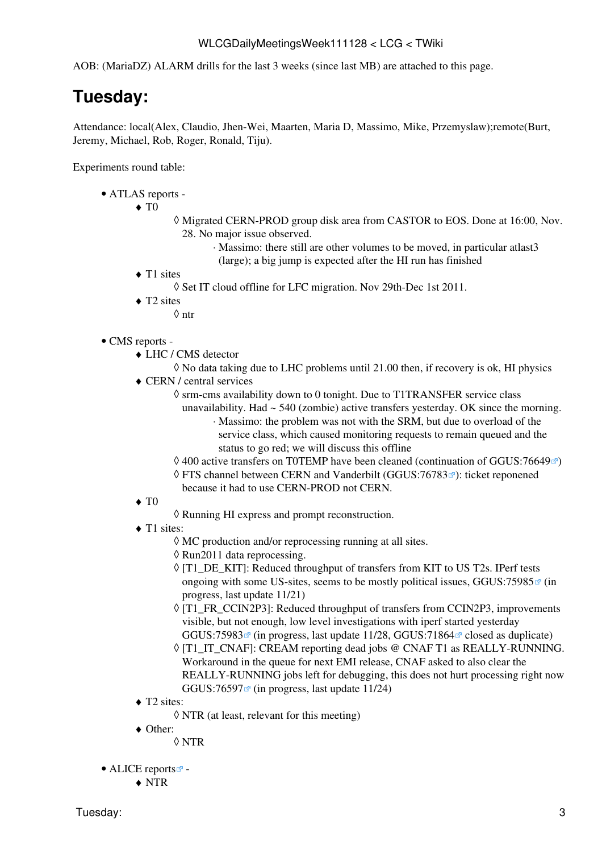AOB: ([MariaDZ\)](https://twiki.cern.ch/twiki/bin/edit/LCG/MariaDZ?topicparent=LCG.WLCGDailyMeetingsWeek111128;nowysiwyg=1) ALARM drills for the last 3 weeks (since last MB) are attached to this page.

# <span id="page-3-0"></span>**Tuesday:**

Attendance: local(Alex, Claudio, Jhen-Wei, Maarten, Maria D, Massimo, Mike, Przemyslaw);remote(Burt, Jeremy, Michael, Rob, Roger, Ronald, Tiju).

Experiments round table:

- ATLAS [reports](https://twiki.cern.ch/twiki/bin/view/Atlas/ADCOperationsDailyReports)  •
	- $\blacklozenge$  T<sub>0</sub>
- Migrated CERN-PROD group disk area from CASTOR to EOS. Done at 16:00, Nov. ◊ 28. No major issue observed.
	- Massimo: there still are other volumes to be moved, in particular atlast3 ⋅ (large); a big jump is expected after the HI run has finished
- T1 sites
	- ◊ Set IT cloud offline for LFC migration. Nov 29th-Dec 1st 2011.
- ◆ T2 sites
	- ◊ ntr
- CMS [reports](https://twiki.cern.ch/twiki/bin/view/CMS/FacOps_WLCGdailyreports) -
	- LHC / CMS detector ♦
		- ◊ No data taking due to LHC problems until 21.00 then, if recovery is ok, HI physics
	- CERN / central services ♦
		- ◊ srm-cms availability down to 0 tonight. Due to [T1TRANSFER](https://twiki.cern.ch/twiki/bin/edit/LCG/T1TRANSFER?topicparent=LCG.WLCGDailyMeetingsWeek111128;nowysiwyg=1) service class
			- unavailability. Had  $\sim$  540 (zombie) active transfers yesterday. OK since the morning. Massimo: the problem was not with the SRM, but due to overload of the ⋅ service class, which caused monitoring requests to remain queued and the status to go red; we will discuss this offline
		- $\Diamond$  400 active transfers on TOTEMP have been cleaned (continuation of [GGUS:76649](https://ggus.eu/ws/ticket_info.php?ticket=76649) $\degree$ )
		- ◊ FTS channel between CERN and Vanderbilt [\(GGUS:76783](https://ggus.eu/ws/ticket_info.php?ticket=76783) <sup>are</sup>): ticket reponened because it had to use CERN-PROD not CERN.
	- $\blacklozenge$  T<sub>0</sub>
		- ◊ Running HI express and prompt reconstruction.
	- ◆ T1 sites:
		- ◊ MC production and/or reprocessing running at all sites.
		- ◊ Run2011 data reprocessing.
		- ◊ [T1\_DE\_KIT]: Reduced throughput of transfers from KIT to US T2s. IPerf tests ongoing with some US-sites, seems to be mostly political issues, [GGUS:75985](https://ggus.eu/ws/ticket_info.php?ticket=75985) $\mathcal{F}$  (in progress, last update 11/21)
		- ◊ [T1\_FR\_CCIN2P3]: Reduced throughput of transfers from [CCIN2P3,](https://twiki.cern.ch/twiki/bin/edit/LCG/CCIN2P3?topicparent=LCG.WLCGDailyMeetingsWeek111128;nowysiwyg=1) improvements visible, but not enough, low level investigations with iperf started yesterday GGUS:75983 $\textdegree$  (in progress, last update 11/28, GGUS:71864 $\textdegree$  closed as duplicate)
		- ◊ [T1\_IT\_CNAF]: [CREAM](https://twiki.cern.ch/twiki/bin/view/LCG/CREAM) reporting dead jobs @ CNAF T1 as REALLY-RUNNING. Workaround in the queue for next EMI release, CNAF asked to also clear the REALLY-RUNNING jobs left for debugging, this does not hurt processing right now GGUS:76597 $\Phi$  (in progress, last update 11/24)
	- ◆ T2 sites:
		- ◊ NTR (at least, relevant for this meeting)
	- Other: ♦
		- ◊ NTR
- ALICE [reports](http://alien2.cern.ch/index.php?option=com_content&view=article&id=75&Itemid=129)
	- ♦ NTR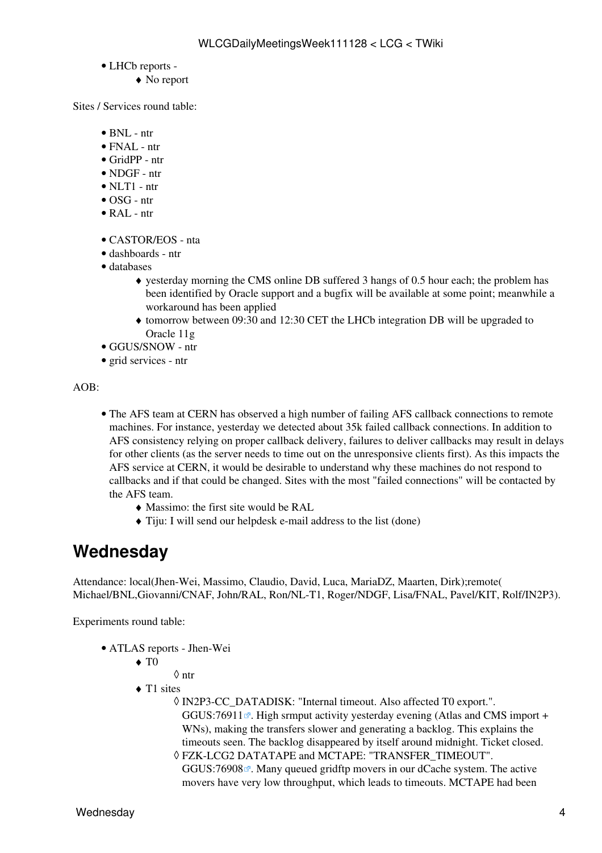- LHCb [reports](https://twiki.cern.ch/twiki/bin/view/LHCb/ProductionOperationsWLCGdailyReports) -
	- ♦ No report

Sites / Services round table:

- BNL ntr
- FNAL ntr
- [GridPP](https://twiki.cern.ch/twiki/bin/view/LCG/GridPP) ntr
- NDGF ntr
- $\bullet$  NLT1 ntr
- OSG ntr
- [RAL](https://twiki.cern.ch/twiki/bin/view/LCG/RAL) ntr
- CASTOR/EOS nta
- dashboards ntr
- databases
	- yesterday morning the CMS online DB suffered 3 hangs of 0.5 hour each; the problem has ♦ been identified by Oracle support and a bugfix will be available at some point; meanwhile a workaround has been applied
	- tomorrow between 09:30 and 12:30 CET the LHCb integration DB will be upgraded to ♦ Oracle 11g
- GGUS/SNOW ntr
- grid services ntr

AOB:

- The AFS team at CERN has observed a high number of failing AFS callback connections to remote machines. For instance, yesterday we detected about 35k failed callback connections. In addition to AFS consistency relying on proper callback delivery, failures to deliver callbacks may result in delays for other clients (as the server needs to time out on the unresponsive clients first). As this impacts the AFS service at CERN, it would be desirable to understand why these machines do not respond to callbacks and if that could be changed. Sites with the most "failed connections" will be contacted by the AFS team.
	- ♦ Massimo: the first site would be [RAL](https://twiki.cern.ch/twiki/bin/view/LCG/RAL)
	- ♦ Tiju: I will send our helpdesk e-mail address to the list (done)

#### <span id="page-4-0"></span>**Wednesday**

Attendance: local(Jhen-Wei, Massimo, Claudio, David, Luca, [MariaDZ,](https://twiki.cern.ch/twiki/bin/edit/LCG/MariaDZ?topicparent=LCG.WLCGDailyMeetingsWeek111128;nowysiwyg=1) Maarten, Dirk);remote( Michael/BNL,Giovanni/CNAF, John/RAL, Ron/NL-T1, Roger/NDGF, Lisa/FNAL, Pavel/KIT, Rolf/IN2P3).

Experiments round table:

- ATLAS [reports](https://twiki.cern.ch/twiki/bin/view/Atlas/ADCOperationsDailyReports)  Jhen-Wei
	- $\blacklozenge$  T<sub>0</sub>
		- ◊ ntr
	- ◆ T1 sites
		- [IN2P3-](https://twiki.cern.ch/twiki/bin/view/LCG/IN2P3)CC\_DATADISK: "Internal timeout. Also affected T0 export.". ◊ [GGUS:76911](https://ggus.eu/ws/ticket_info.php?ticket=76911) $\mathbb{R}$ . High srmput activity yesterday evening (Atlas and CMS import + WNs), making the transfers slower and generating a backlog. This explains the timeouts seen. The backlog disappeared by itself around midnight. Ticket closed.
		- FZK-LCG2 DATATAPE and MCTAPE: "TRANSFER\_TIMEOUT". ◊ [GGUS:76908](https://ggus.eu/ws/ticket_info.php?ticket=76908)<sup> $\alpha$ </sup>. Many queued gridftp movers in our dCache system. The active movers have very low throughput, which leads to timeouts. MCTAPE had been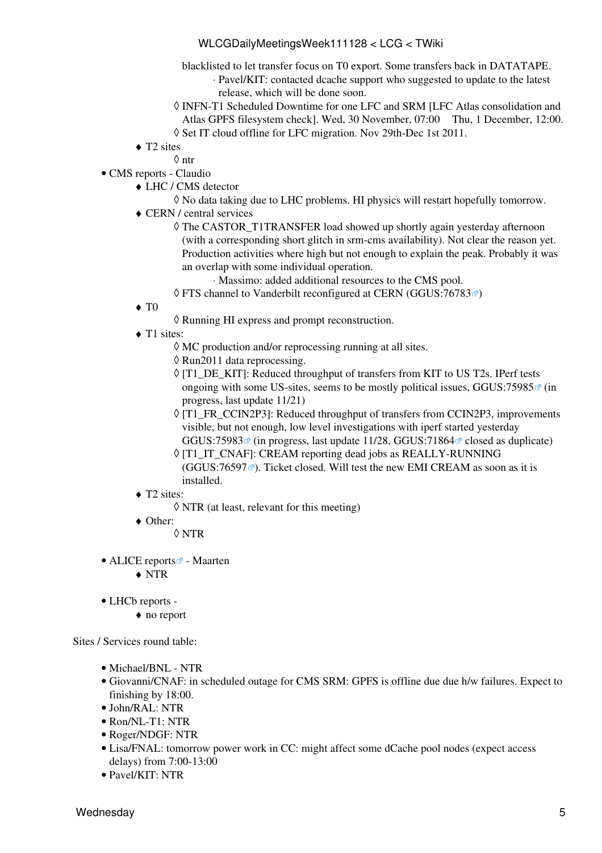#### WLCGDailyMeetingsWeek111128 < LCG < TWiki

- blacklisted to let transfer focus on T0 export. Some transfers back in DATATAPE.
	- Pavel/KIT: contacted dcache support who suggested to update to the latest ⋅ release, which will be done soon.
- INFN-T1 Scheduled Downtime for one LFC and SRM [LFC Atlas consolidation and ◊ Atlas GPFS filesystem check]. Wed, 30 November, 07:00 Thu, 1 December, 12:00.
- ◊ Set IT cloud offline for LFC migration. Nov 29th-Dec 1st 2011.
- ◆ T2 sites
- ◊ ntr CMS [reports](https://twiki.cern.ch/twiki/bin/view/CMS/FacOps_WLCGdailyreports) - Claudio •
	- LHC / CMS detector ♦
		- ◊ No data taking due to LHC problems. HI physics will restart hopefully tomorrow.
	- CERN / central services ♦
		- The CASTOR\_T1TRANSFER load showed up shortly again yesterday afternoon ◊ (with a corresponding short glitch in srm-cms availability). Not clear the reason yet. Production activities where high but not enough to explain the peak. Probably it was an overlap with some individual operation.
			- ⋅ Massimo: added additional resources to the CMS pool.
		- ◊ FTS channel to Vanderbilt reconfigured at CERN [\(GGUS:76783](https://ggus.eu/ws/ticket_info.php?ticket=76783) )
	- $\blacklozenge$  T<sub>0</sub>
		- ◊ Running HI express and prompt reconstruction.
	- ◆ T1 sites:
		- ◊ MC production and/or reprocessing running at all sites.
		- ◊ Run2011 data reprocessing.
		- ◊ [T1\_DE\_KIT]: Reduced throughput of transfers from KIT to US T2s. IPerf tests ongoing with some US-sites, seems to be mostly political issues,  $GGUS:75985 \times (in$ progress, last update 11/21)
		- ◊ [T1\_FR\_CCIN2P3]: Reduced throughput of transfers from [CCIN2P3,](https://twiki.cern.ch/twiki/bin/edit/LCG/CCIN2P3?topicparent=LCG.WLCGDailyMeetingsWeek111128;nowysiwyg=1) improvements visible, but not enough, low level investigations with iperf started yesterday GGUS:75983 $\degree$  (in progress, last update 11/28, GGUS:71864 $\degree$  closed as duplicate)
		- ◊ [T1\_IT\_CNAF]: [CREAM](https://twiki.cern.ch/twiki/bin/view/LCG/CREAM) reporting dead jobs as REALLY-RUNNING  $(GGUS:76597 \n\mathbb{Z})$  $(GGUS:76597 \n\mathbb{Z})$  $(GGUS:76597 \n\mathbb{Z})$ . Ticket closed. Will test the new EMI [CREAM](https://twiki.cern.ch/twiki/bin/view/LCG/CREAM) as soon as it is installed.
	- ◆ T2 sites:
		- ◊ NTR (at least, relevant for this meeting)
	- Other: ♦
		- ◊ NTR
- ALICE [reports](http://alien2.cern.ch/index.php?option=com_content&view=article&id=75&Itemid=129)<sup>2</sup> Maarten
	- ♦ NTR
- LHCb [reports](https://twiki.cern.ch/twiki/bin/view/LHCb/ProductionOperationsWLCGdailyReports)  •
	- ♦ no report

Sites / Services round table:

- Michael/BNL NTR
- Giovanni/CNAF: in scheduled outage for CMS SRM: GPFS is offline due due h/w failures. Expect to finishing by 18:00.
- John/RAL: NTR
- Ron/NL-T1: NTR
- Roger/NDGF: NTR
- Lisa/FNAL: tomorrow power work in CC: might affect some dCache pool nodes (expect access delays) from 7:00-13:00
- Pavel/KIT: NTR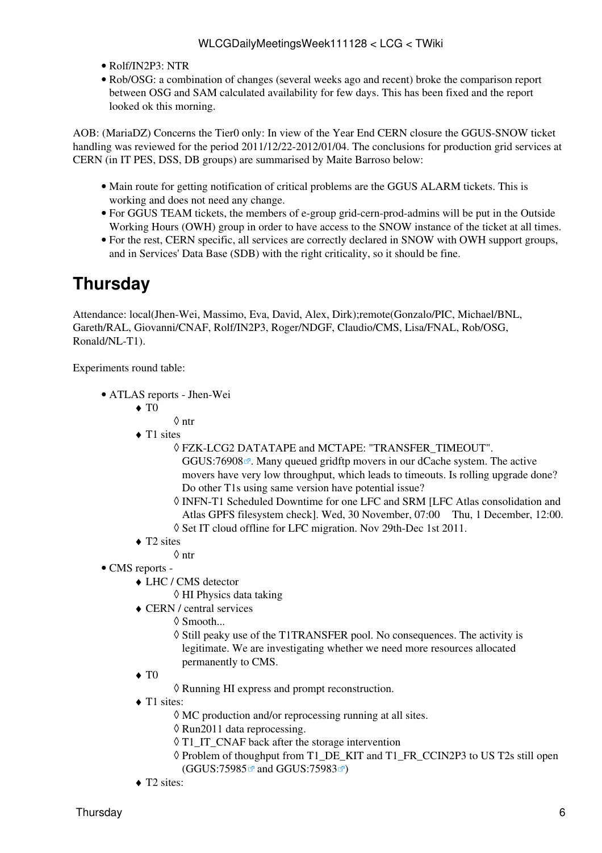- Rolf/IN2P3: NTR
- Rob/OSG: a combination of changes (several weeks ago and recent) broke the comparison report between OSG and SAM calculated availability for few days. This has been fixed and the report looked ok this morning.

AOB: ([MariaDZ\)](https://twiki.cern.ch/twiki/bin/edit/LCG/MariaDZ?topicparent=LCG.WLCGDailyMeetingsWeek111128;nowysiwyg=1) Concerns the Tier0 only: In view of the Year End CERN closure the GGUS-SNOW ticket handling was reviewed for the period 2011/12/22-2012/01/04. The conclusions for production grid services at CERN (in IT PES, DSS, DB groups) are summarised by Maite Barroso below:

- Main route for getting notification of critical problems are the GGUS ALARM tickets. This is working and does not need any change.
- For GGUS TEAM tickets, the members of e-group grid-cern-prod-admins will be put in the Outside Working Hours (OWH) group in order to have access to the SNOW instance of the ticket at all times.
- For the rest, CERN specific, all services are correctly declared in SNOW with OWH support groups, and in Services' Data Base (SDB) with the right criticality, so it should be fine.

### <span id="page-6-0"></span>**Thursday**

Attendance: local(Jhen-Wei, Massimo, Eva, David, Alex, Dirk);remote(Gonzalo/PIC, Michael/BNL, Gareth/RAL, Giovanni/CNAF, Rolf/IN2P3, Roger/NDGF, Claudio/CMS, Lisa/FNAL, Rob/OSG, Ronald/NL-T1).

Experiments round table:

- ATLAS [reports](https://twiki.cern.ch/twiki/bin/view/Atlas/ADCOperationsDailyReports)  Jhen-Wei
	- $\blacklozenge$  T<sub>0</sub>
		- ◊ ntr
	- ◆ T1 sites
		- FZK-LCG2 DATATAPE and MCTAPE: "TRANSFER\_TIMEOUT". ◊ [GGUS:76908](https://ggus.eu/ws/ticket_info.php?ticket=76908) $\mathbb{Z}$ . Many queued gridftp movers in our dCache system. The active movers have very low throughput, which leads to timeouts. Is rolling upgrade done? Do other T1s using same version have potential issue?
		- ◊ INFN-T1 Scheduled Downtime for one LFC and SRM [LFC Atlas consolidation and Atlas GPFS filesystem check]. Wed, 30 November, 07:00 Thu, 1 December, 12:00.
		- ◊ Set IT cloud offline for LFC migration. Nov 29th-Dec 1st 2011.
	- ◆ T2 sites
		- ◊ ntr
- CMS [reports](https://twiki.cern.ch/twiki/bin/view/CMS/FacOps_WLCGdailyreports) -
	- LHC / CMS detector ♦
		- ◊ HI Physics data taking
	- CERN / central services ♦
		- ◊ Smooth...

◊ Still peaky use of the [T1TRANSFER](https://twiki.cern.ch/twiki/bin/edit/LCG/T1TRANSFER?topicparent=LCG.WLCGDailyMeetingsWeek111128;nowysiwyg=1) pool. No consequences. The activity is legitimate. We are investigating whether we need more resources allocated permanently to CMS.

- $\blacklozenge$  T<sub>0</sub>
	- ◊ Running HI express and prompt reconstruction.
- ◆ T1 sites:
	- $\Diamond$  MC production and/or reprocessing running at all sites.
	- ◊ Run2011 data reprocessing.
	- ◊ T1\_IT\_CNAF back after the storage intervention
	- ◊ Problem of thoughput from T1\_DE\_KIT and T1\_FR\_CCIN2P3 to US T2s still open ([GGUS:75985](https://ggus.eu/ws/ticket_info.php?ticket=75985) <sup>a</sup> and [GGUS:75983](https://ggus.eu/ws/ticket_info.php?ticket=75983) <sup>a</sup>)
- ◆ T2 sites: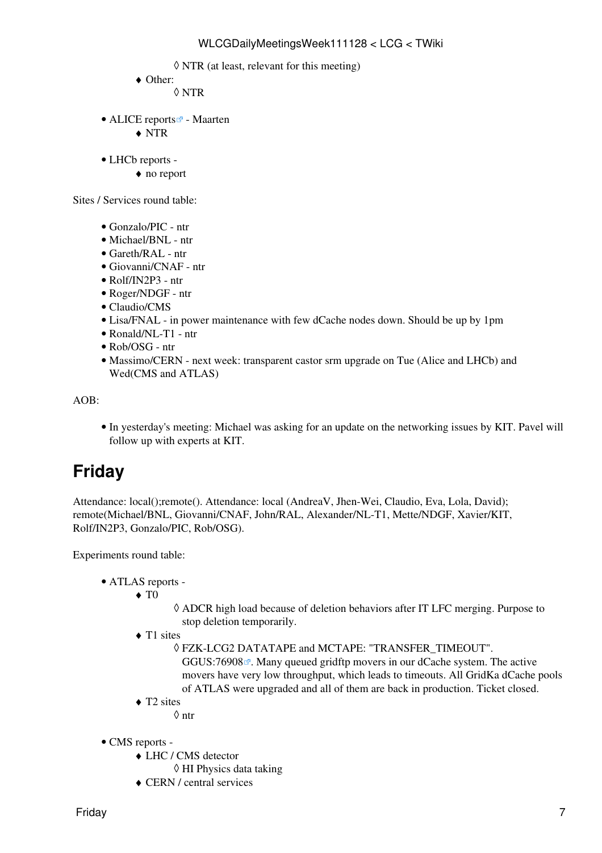- ◊ NTR (at least, relevant for this meeting)
- Other: ♦
	- ◊ NTR
- ALICE [reports](http://alien2.cern.ch/index.php?option=com_content&view=article&id=75&Itemid=129)<sup>2</sup> Maarten
	- ♦ NTR
- LHCb [reports](https://twiki.cern.ch/twiki/bin/view/LHCb/ProductionOperationsWLCGdailyReports) -
	- ♦ no report

Sites / Services round table:

- Gonzalo/PIC ntr
- Michael/BNL ntr
- Gareth/RAL ntr
- Giovanni/CNAF ntr
- Rolf/IN2P3 ntr
- Roger/NDGF ntr
- Claudio/CMS
- Lisa/FNAL in power maintenance with few dCache nodes down. Should be up by 1pm
- Ronald/NL-T1 ntr
- Rob/OSG ntr
- Massimo/CERN next week: transparent castor srm upgrade on Tue (Alice and LHCb) and Wed(CMS and ATLAS)

AOB:

• In yesterday's meeting: Michael was asking for an update on the networking issues by KIT. Pavel will follow up with experts at KIT.

# <span id="page-7-0"></span>**Friday**

Attendance: local();remote(). Attendance: local (AndreaV, Jhen-Wei, Claudio, Eva, Lola, David); remote(Michael/BNL, Giovanni/CNAF, John/RAL, Alexander/NL-T1, Mette/NDGF, Xavier/KIT, Rolf/IN2P3, Gonzalo/PIC, Rob/OSG).

Experiments round table:

- ATLAS [reports](https://twiki.cern.ch/twiki/bin/view/Atlas/ADCOperationsDailyReports)  •
	- $\blacklozenge$  T<sub>0</sub>
- ADCR high load because of deletion behaviors after IT LFC merging. Purpose to ◊ stop deletion temporarily.
- ◆ T1 sites

FZK-LCG2 DATATAPE and MCTAPE: "TRANSFER\_TIMEOUT". ◊  $GGUS:76908$ <sup> $\alpha$ </sup>. Many queued gridftp movers in our dCache system. The active movers have very low throughput, which leads to timeouts. All [GridKa](https://twiki.cern.ch/twiki/bin/view/LCG/GridKa) dCache pools of ATLAS were upgraded and all of them are back in production. Ticket closed.

◆ T2 sites

◊ ntr

- CMS [reports](https://twiki.cern.ch/twiki/bin/view/CMS/FacOps_WLCGdailyreports) -
	- LHC / CMS detector ♦
		- ◊ HI Physics data taking
	- ♦ CERN / central services